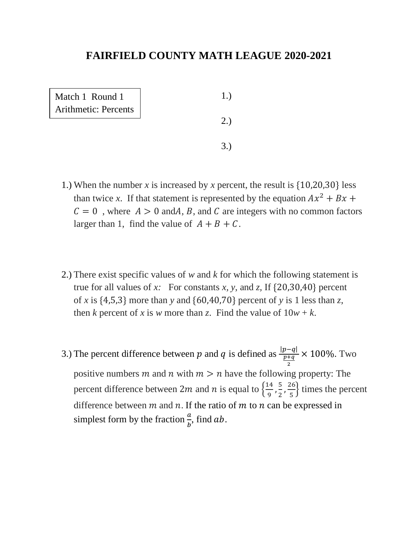| Match 1 Round 1             |    |
|-----------------------------|----|
| <b>Arithmetic: Percents</b> | 2. |
|                             |    |

- 1.) When the number *x* is increased by *x* percent, the result is {10,20,30} less than twice x. If that statement is represented by the equation  $Ax^2 + Bx$  +  $C = 0$ , where  $A > 0$  and A, B, and C are integers with no common factors larger than 1, find the value of  $A + B + C$ .
- 2.) There exist specific values of *w* and *k* for which the following statement is true for all values of *x*: For constants *x*, *y*, and *z*, If  $\{20,30,40\}$  percent of *x* is {4,5,3} more than *y* and {60,40,70} percent of *y* is 1 less than *z*, then *k* percent of *x* is *w* more than *z*. Find the value of  $10w + k$ .
- 3.) The percent difference between p and q is defined as  $\frac{|p-q|}{p+q}$ 2 × 100%. Two positive numbers m and n with  $m > n$  have the following property: The percent difference between 2*m* and *n* is equal to  $\frac{14}{9}$  $\frac{14}{9}, \frac{5}{2}$  $\frac{5}{2}$ ,  $\frac{26}{5}$  $\frac{10}{5}$  times the percent difference between  $m$  and  $n$ . If the ratio of  $m$  to  $n$  can be expressed in simplest form by the fraction  $\frac{a}{b}$ , find ab.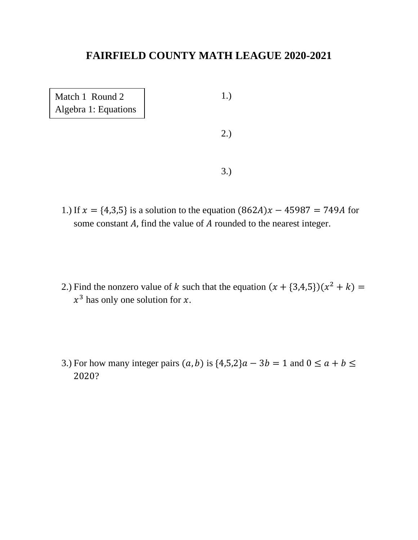| Match 1 Round 2<br>Algebra 1: Equations | 1.) |
|-----------------------------------------|-----|
|                                         | 2.) |
|                                         |     |

- 1.) If  $x = \{4,3,5\}$  is a solution to the equation  $(862A)x 45987 = 749A$  for some constant  $A$ , find the value of  $A$  rounded to the nearest integer.
- 2.) Find the nonzero value of k such that the equation  $(x + \{3,4,5\})(x^2 + k) =$  $x^3$  has only one solution for x.
- 3.) For how many integer pairs  $(a, b)$  is  $\{4,5,2\}$  $a 3b = 1$  and  $0 \le a + b \le b$ 2020?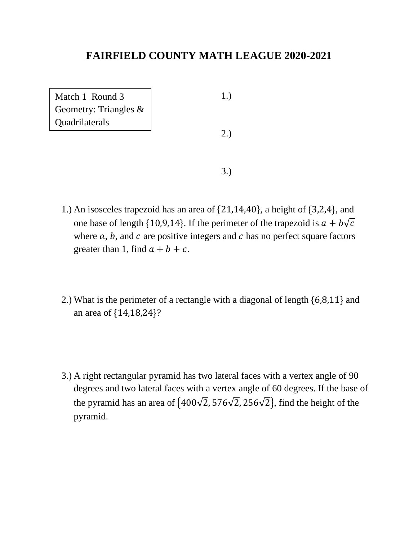| Match 1 Round 3<br>Geometry: Triangles & | 1.  |
|------------------------------------------|-----|
| Quadrilaterals                           | 2.7 |
|                                          |     |
|                                          |     |

- 3.)
- 1.) An isosceles trapezoid has an area of {21,14,40}, a height of {3,2,4}, and one base of length {10,9,14}. If the perimeter of the trapezoid is  $a + b\sqrt{c}$ where  $a, b$ , and  $c$  are positive integers and  $c$  has no perfect square factors greater than 1, find  $a + b + c$ .
- 2.) What is the perimeter of a rectangle with a diagonal of length {6,8,11} and an area of {14,18,24}?
- 3.) A right rectangular pyramid has two lateral faces with a vertex angle of 90 degrees and two lateral faces with a vertex angle of 60 degrees. If the base of the pyramid has an area of  $\{400\sqrt{2}, 576\sqrt{2}, 256\sqrt{2}\}$ , find the height of the pyramid.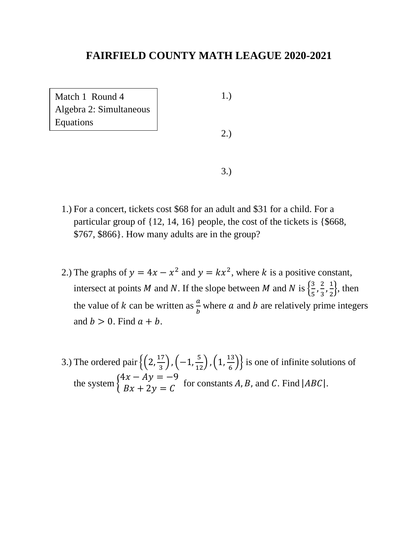Match 1 Round 4 Algebra 2: Simultaneous Equations

1.)

2.)

3.)

- 1.) For a concert, tickets cost \$68 for an adult and \$31 for a child. For a particular group of {12, 14, 16} people, the cost of the tickets is {\$668, \$767, \$866}. How many adults are in the group?
- 2.) The graphs of  $y = 4x x^2$  and  $y = kx^2$ , where k is a positive constant, intersect at points M and N. If the slope between M and N is  $\left\{\frac{3}{5}\right\}$  $\frac{3}{5}, \frac{2}{3}$  $\frac{2}{3}, \frac{1}{2}$  $\frac{1}{2}$ , then the value of k can be written as  $\frac{a}{b}$  where a and b are relatively prime integers and  $b > 0$ . Find  $a + b$ .
- 3.) The ordered pair  $\left\{ \left(2, \frac{17}{2}\right) \right\}$  $\frac{17}{3}$ ,  $\left(-1,\frac{5}{12}\right)$ ,  $\left(1,\frac{13}{6}\right)$  $\left\{\frac{15}{6}\right\}$  is one of infinite solutions of the system {  $4x - Ay = -9$  $\begin{aligned} Ax + 2y &= C \end{aligned}$  for constants A, B, and C. Find  $|ABC|$ .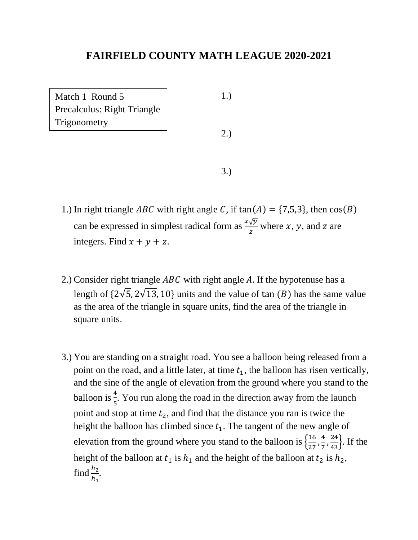Match 1 Round 5 Precalculus: Right Triangle **Trigonometry** 

1.)

2.)

3.)

- 1.) In right triangle *ABC* with right angle C, if  $tan(A) = \{7,5,3\}$ , then  $cos(B)$ can be expressed in simplest radical form as  $\frac{x\sqrt{y}}{z}$  where x, y, and z are integers. Find  $x + y + z$ .
- 2.) Consider right triangle  $ABC$  with right angle A. If the hypotenuse has a length of  $\{2\sqrt{5}, 2\sqrt{13}, 10\}$  units and the value of tan  $(B)$  has the same value as the area of the triangle in square units, find the area of the triangle in square units.
- 3.) You are standing on a straight road. You see a balloon being released from a point on the road, and a little later, at time  $t_1$ , the balloon has risen vertically, and the sine of the angle of elevation from the ground where you stand to the balloon is  $\frac{4}{5}$ . You run along the road in the direction away from the launch point and stop at time  $t_2$ , and find that the distance you ran is twice the height the balloon has climbed since  $t_1$ . The tangent of the new angle of elevation from the ground where you stand to the balloon is  $\frac{16}{27}$  $\frac{16}{27}, \frac{4}{7}$  $\frac{4}{7}, \frac{24}{43}$ . If the height of the balloon at  $t_1$  is  $h_1$  and the height of the balloon at  $t_2$  is  $h_2$ , find  $\frac{h_2}{h}$  $h_1$ .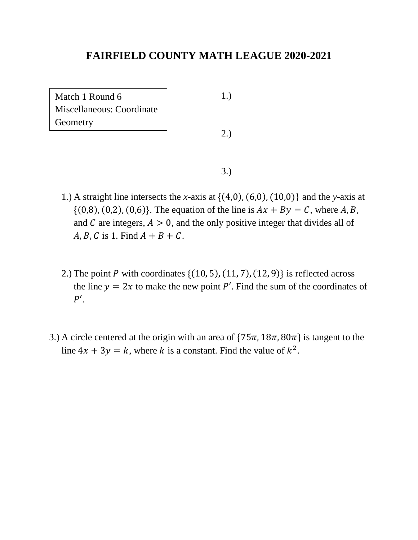Match 1 Round 6 Miscellaneous: Coordinate **Geometry** 

1.)

2.)

3.)

- 1.) A straight line intersects the *x*-axis at {(4,0), (6,0), (10,0)} and the *y*-axis at  $\{(0,8), (0,2), (0,6)\}.$  The equation of the line is  $Ax + By = C$ , where A, B, and  $C$  are integers,  $A > 0$ , and the only positive integer that divides all of  $A, B, C$  is 1. Find  $A + B + C$ .
- 2.) The point P with coordinates  $\{(10, 5), (11, 7), (12, 9)\}\$ is reflected across the line  $y = 2x$  to make the new point P'. Find the sum of the coordinates of  $P'$ .
- 3.) A circle centered at the origin with an area of  $\{75\pi, 18\pi, 80\pi\}$  is tangent to the line  $4x + 3y = k$ , where k is a constant. Find the value of  $k^2$ .